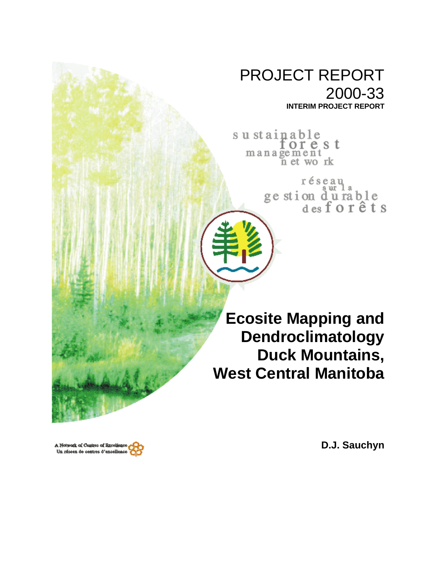# PROJECT REPORT 2000-33 **INTERIM PROJECT REPORT**

sustainable<br>for e s t management<br>net work

réseau<br>ge stion d'u rable<br>des forêts

**Ecosite Mapping and Dendroclimatology Duck Mountains, West Central Manitoba**

A Network of Centres of Bacellene Un résesu de centres d'excellence **D.J. Sauchyn**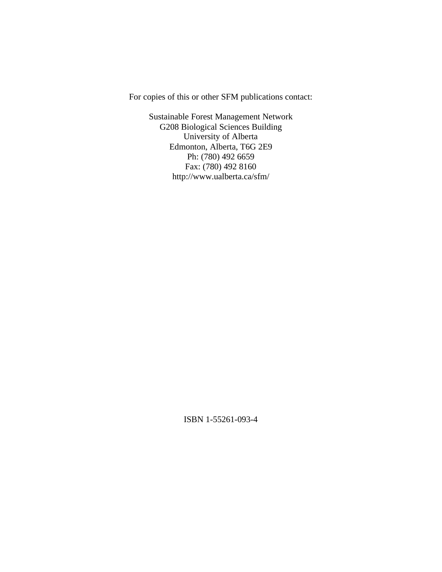For copies of this or other SFM publications contact:

Sustainable Forest Management Network G208 Biological Sciences Building University of Alberta Edmonton, Alberta, T6G 2E9 Ph: (780) 492 6659 Fax: (780) 492 8160 http://www.ualberta.ca/sfm/

ISBN 1-55261-093-4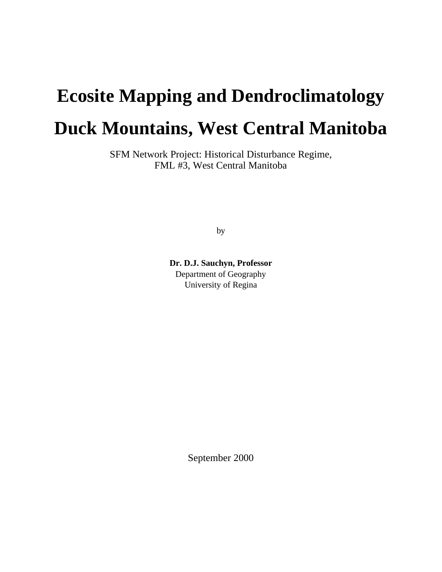# **Ecosite Mapping and Dendroclimatology Duck Mountains, West Central Manitoba**

SFM Network Project: Historical Disturbance Regime, FML #3, West Central Manitoba

by

**Dr. D.J. Sauchyn, Professor** Department of Geography University of Regina

September 2000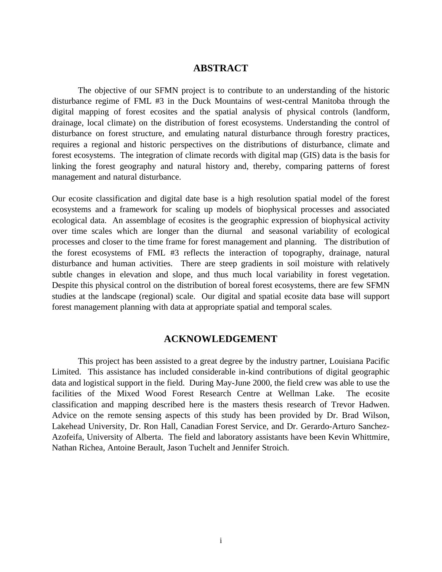# **ABSTRACT**

The objective of our SFMN project is to contribute to an understanding of the historic disturbance regime of FML #3 in the Duck Mountains of west-central Manitoba through the digital mapping of forest ecosites and the spatial analysis of physical controls (landform, drainage, local climate) on the distribution of forest ecosystems. Understanding the control of disturbance on forest structure, and emulating natural disturbance through forestry practices, requires a regional and historic perspectives on the distributions of disturbance, climate and forest ecosystems. The integration of climate records with digital map (GIS) data is the basis for linking the forest geography and natural history and, thereby, comparing patterns of forest management and natural disturbance.

Our ecosite classification and digital date base is a high resolution spatial model of the forest ecosystems and a framework for scaling up models of biophysical processes and associated ecological data. An assemblage of ecosites is the geographic expression of biophysical activity over time scales which are longer than the diurnal and seasonal variability of ecological processes and closer to the time frame for forest management and planning. The distribution of the forest ecosystems of FML #3 reflects the interaction of topography, drainage, natural disturbance and human activities. There are steep gradients in soil moisture with relatively subtle changes in elevation and slope, and thus much local variability in forest vegetation. Despite this physical control on the distribution of boreal forest ecosystems, there are few SFMN studies at the landscape (regional) scale. Our digital and spatial ecosite data base will support forest management planning with data at appropriate spatial and temporal scales.

# **ACKNOWLEDGEMENT**

This project has been assisted to a great degree by the industry partner, Louisiana Pacific Limited. This assistance has included considerable in-kind contributions of digital geographic data and logistical support in the field. During May-June 2000, the field crew was able to use the facilities of the Mixed Wood Forest Research Centre at Wellman Lake. The ecosite classification and mapping described here is the masters thesis research of Trevor Hadwen. Advice on the remote sensing aspects of this study has been provided by Dr. Brad Wilson, Lakehead University, Dr. Ron Hall, Canadian Forest Service, and Dr. Gerardo-Arturo Sanchez-Azofeifa, University of Alberta. The field and laboratory assistants have been Kevin Whittmire, Nathan Richea, Antoine Berault, Jason Tuchelt and Jennifer Stroich.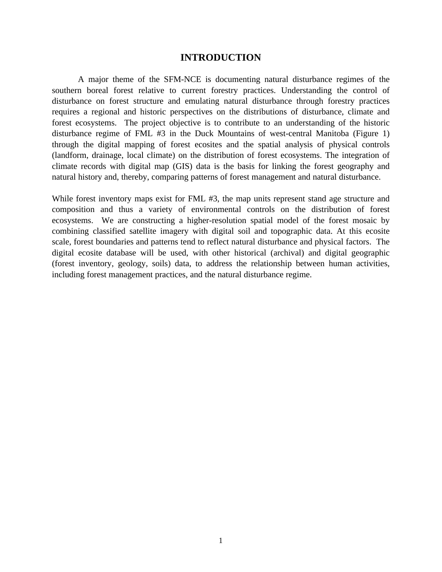# **INTRODUCTION**

A major theme of the SFM-NCE is documenting natural disturbance regimes of the southern boreal forest relative to current forestry practices. Understanding the control of disturbance on forest structure and emulating natural disturbance through forestry practices requires a regional and historic perspectives on the distributions of disturbance, climate and forest ecosystems. The project objective is to contribute to an understanding of the historic disturbance regime of FML #3 in the Duck Mountains of west-central Manitoba (Figure 1) through the digital mapping of forest ecosites and the spatial analysis of physical controls (landform, drainage, local climate) on the distribution of forest ecosystems. The integration of climate records with digital map (GIS) data is the basis for linking the forest geography and natural history and, thereby, comparing patterns of forest management and natural disturbance.

While forest inventory maps exist for FML #3, the map units represent stand age structure and composition and thus a variety of environmental controls on the distribution of forest ecosystems. We are constructing a higher-resolution spatial model of the forest mosaic by combining classified satellite imagery with digital soil and topographic data. At this ecosite scale, forest boundaries and patterns tend to reflect natural disturbance and physical factors. The digital ecosite database will be used, with other historical (archival) and digital geographic (forest inventory, geology, soils) data, to address the relationship between human activities, including forest management practices, and the natural disturbance regime.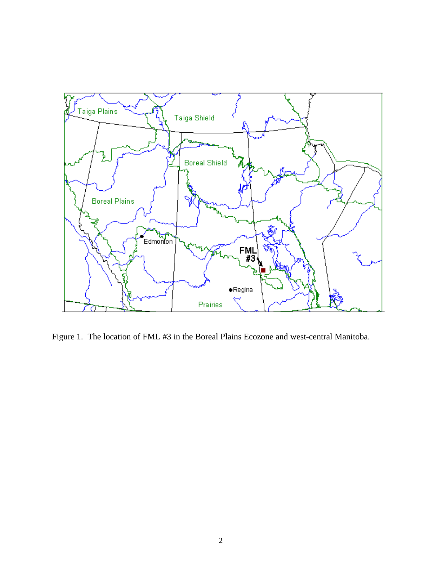

Figure 1. The location of FML #3 in the Boreal Plains Ecozone and west-central Manitoba.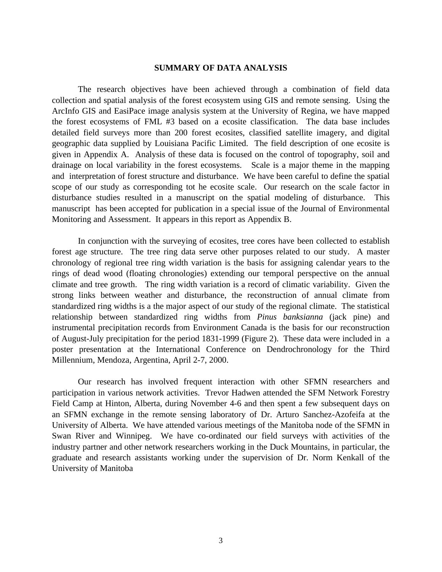# **SUMMARY OF DATA ANALYSIS**

The research objectives have been achieved through a combination of field data collection and spatial analysis of the forest ecosystem using GIS and remote sensing. Using the ArcInfo GIS and EasiPace image analysis system at the University of Regina, we have mapped the forest ecosystems of FML #3 based on a ecosite classification. The data base includes detailed field surveys more than 200 forest ecosites, classified satellite imagery, and digital geographic data supplied by Louisiana Pacific Limited. The field description of one ecosite is given in Appendix A. Analysis of these data is focused on the control of topography, soil and drainage on local variability in the forest ecosystems. Scale is a major theme in the mapping and interpretation of forest structure and disturbance. We have been careful to define the spatial scope of our study as corresponding tot he ecosite scale. Our research on the scale factor in disturbance studies resulted in a manuscript on the spatial modeling of disturbance. This manuscript has been accepted for publication in a special issue of the Journal of Environmental Monitoring and Assessment. It appears in this report as Appendix B.

In conjunction with the surveying of ecosites, tree cores have been collected to establish forest age structure. The tree ring data serve other purposes related to our study. A master chronology of regional tree ring width variation is the basis for assigning calendar years to the rings of dead wood (floating chronologies) extending our temporal perspective on the annual climate and tree growth. The ring width variation is a record of climatic variability. Given the strong links between weather and disturbance, the reconstruction of annual climate from standardized ring widths is a the major aspect of our study of the regional climate. The statistical relationship between standardized ring widths from *Pinus banksianna* (jack pine) and instrumental precipitation records from Environment Canada is the basis for our reconstruction of August-July precipitation for the period 1831-1999 (Figure 2). These data were included in a poster presentation at the International Conference on Dendrochronology for the Third Millennium, Mendoza, Argentina, April 2-7, 2000.

Our research has involved frequent interaction with other SFMN researchers and participation in various network activities. Trevor Hadwen attended the SFM Network Forestry Field Camp at Hinton, Alberta, during November 4-6 and then spent a few subsequent days on an SFMN exchange in the remote sensing laboratory of Dr. Arturo Sanchez-Azofeifa at the University of Alberta. We have attended various meetings of the Manitoba node of the SFMN in Swan River and Winnipeg. We have co-ordinated our field surveys with activities of the industry partner and other network researchers working in the Duck Mountains, in particular, the graduate and research assistants working under the supervision of Dr. Norm Kenkall of the University of Manitoba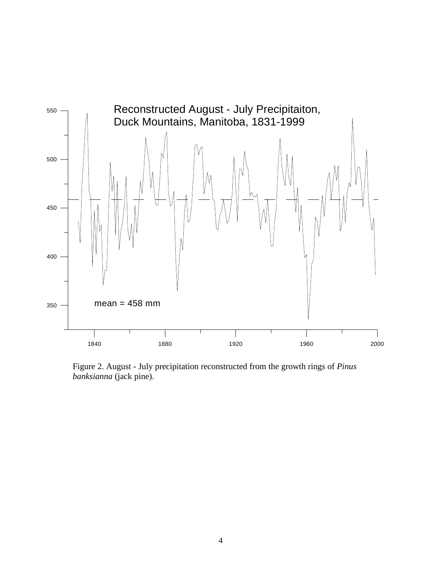

Figure 2. August - July precipitation reconstructed from the growth rings of *Pinus banksianna* (jack pine).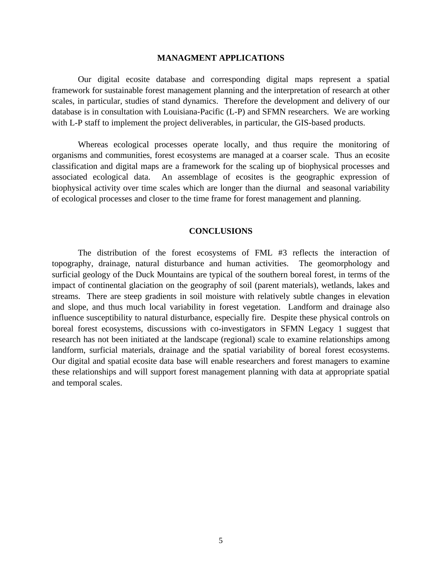### **MANAGMENT APPLICATIONS**

Our digital ecosite database and corresponding digital maps represent a spatial framework for sustainable forest management planning and the interpretation of research at other scales, in particular, studies of stand dynamics. Therefore the development and delivery of our database is in consultation with Louisiana-Pacific (L-P) and SFMN researchers. We are working with L-P staff to implement the project deliverables, in particular, the GIS-based products.

Whereas ecological processes operate locally, and thus require the monitoring of organisms and communities, forest ecosystems are managed at a coarser scale. Thus an ecosite classification and digital maps are a framework for the scaling up of biophysical processes and associated ecological data. An assemblage of ecosites is the geographic expression of biophysical activity over time scales which are longer than the diurnal and seasonal variability of ecological processes and closer to the time frame for forest management and planning.

## **CONCLUSIONS**

The distribution of the forest ecosystems of FML #3 reflects the interaction of topography, drainage, natural disturbance and human activities. The geomorphology and surficial geology of the Duck Mountains are typical of the southern boreal forest, in terms of the impact of continental glaciation on the geography of soil (parent materials), wetlands, lakes and streams. There are steep gradients in soil moisture with relatively subtle changes in elevation and slope, and thus much local variability in forest vegetation. Landform and drainage also influence susceptibility to natural disturbance, especially fire. Despite these physical controls on boreal forest ecosystems, discussions with co-investigators in SFMN Legacy 1 suggest that research has not been initiated at the landscape (regional) scale to examine relationships among landform, surficial materials, drainage and the spatial variability of boreal forest ecosystems. Our digital and spatial ecosite data base will enable researchers and forest managers to examine these relationships and will support forest management planning with data at appropriate spatial and temporal scales.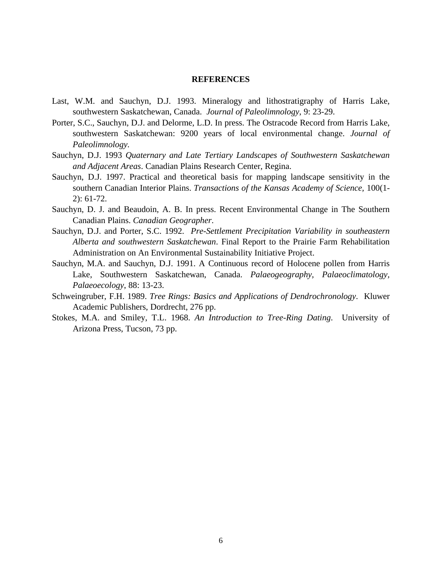# **REFERENCES**

- Last, W.M. and Sauchyn, D.J. 1993. Mineralogy and lithostratigraphy of Harris Lake, southwestern Saskatchewan, Canada. *Journal of Paleolimnology*, 9: 23-29.
- Porter, S.C., Sauchyn, D.J. and Delorme, L.D. In press. The Ostracode Record from Harris Lake, southwestern Saskatchewan: 9200 years of local environmental change. *Journal of Paleolimnology.*
- Sauchyn, D.J. 1993 *Quaternary and Late Tertiary Landscapes of Southwestern Saskatchewan and Adjacent Areas*. Canadian Plains Research Center, Regina.
- Sauchyn, D.J. 1997. Practical and theoretical basis for mapping landscape sensitivity in the southern Canadian Interior Plains. *Transactions of the Kansas Academy of Science,* 100(1- 2): 61-72.
- Sauchyn, D. J. and Beaudoin, A. B. In press. Recent Environmental Change in The Southern Canadian Plains. *Canadian Geographer*.
- Sauchyn, D.J. and Porter, S.C. 1992. *Pre-Settlement Precipitation Variability in southeastern Alberta and southwestern Saskatchewan*. Final Report to the Prairie Farm Rehabilitation Administration on An Environmental Sustainability Initiative Project.
- Sauchyn, M.A. and Sauchyn, D.J. 1991. A Continuous record of Holocene pollen from Harris Lake, Southwestern Saskatchewan, Canada. *Palaeogeography, Palaeoclimatology, Palaeoecology*, 88: 13-23.
- Schweingruber, F.H. 1989. *Tree Rings: Basics and Applications of Dendrochronology*. Kluwer Academic Publishers, Dordrecht, 276 pp.
- Stokes, M.A. and Smiley, T.L. 1968. *An Introduction to Tree-Ring Dating*. University of Arizona Press, Tucson, 73 pp.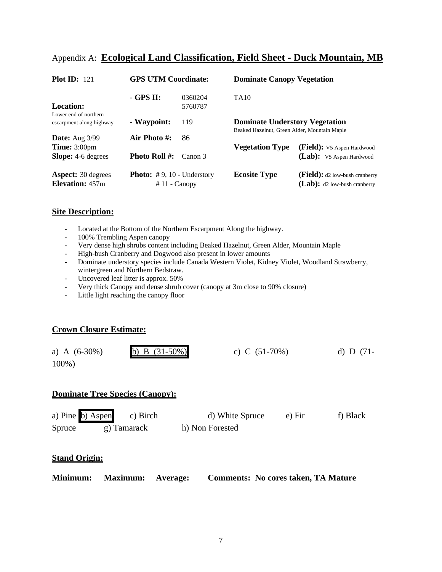| <b>Plot ID:</b> $121$                             | <b>GPS UTM Coordinate:</b>           |         | <b>Dominate Canopy Vegetation</b>                                                     |                                   |  |
|---------------------------------------------------|--------------------------------------|---------|---------------------------------------------------------------------------------------|-----------------------------------|--|
|                                                   | - GPS II:                            | 0360204 | TA <sub>10</sub>                                                                      |                                   |  |
| Location:                                         |                                      | 5760787 |                                                                                       |                                   |  |
| Lower end of northern<br>escarpment along highway | - Waypoint:                          | 119     | <b>Dominate Understory Vegetation</b><br>Beaked Hazelnut, Green Alder, Mountain Maple |                                   |  |
| <b>Date:</b> Aug $3/99$                           | Air Photo #:                         | 86      |                                                                                       |                                   |  |
| <b>Time:</b> $3:00 \text{pm}$                     |                                      |         | <b>Vegetation Type</b>                                                                | (Field): V5 Aspen Hardwood        |  |
| <b>Slope:</b> 4-6 degrees                         | <b>Photo Roll #:</b>                 | Canon 3 |                                                                                       | (Lab): V5 Aspen Hardwood          |  |
| <b>Aspect:</b> 30 degrees                         | <b>Photo:</b> $# 9, 10$ - Understory |         | <b>Ecosite Type</b>                                                                   | (Field): d2 low-bush cranberry    |  |
| <b>Elevation: 457m</b>                            | $# 11 - Canopy$                      |         |                                                                                       | $(Lab)$ : $d2$ low-bush cranberry |  |

# **Site Description:**

- Located at the Bottom of the Northern Escarpment Along the highway.
- 100% Trembling Aspen canopy
- Very dense high shrubs content including Beaked Hazelnut, Green Alder, Mountain Maple
- High-bush Cranberry and Dogwood also present in lower amounts
- Dominate understory species include Canada Western Violet, Kidney Violet, Woodland Strawberry, wintergreen and Northern Bedstraw.
- Uncovered leaf litter is approx. 50%
- Very thick Canopy and dense shrub cover (canopy at 3m close to 90% closure)
- Little light reaching the canopy floor

# **Crown Closure Estimate:**

| a) A $(6-30\%)$ | b) B $(31-50\%)$ | c) C $(51-70%)$ | d) D $(71-$ |
|-----------------|------------------|-----------------|-------------|
| $100\%$ )       |                  |                 |             |

# **Dominate Tree Species (Canopy):**

|        | a) Pine b) Aspen | c) Birch    | d) White Spruce | e) Fir | f) Black |
|--------|------------------|-------------|-----------------|--------|----------|
| Spruce |                  | g) Tamarack | h) Non Forested |        |          |

# **Stand Origin:**

|  | Minimum: Maximum: Average: |  |  | <b>Comments: No cores taken, TA Mature</b> |  |
|--|----------------------------|--|--|--------------------------------------------|--|
|--|----------------------------|--|--|--------------------------------------------|--|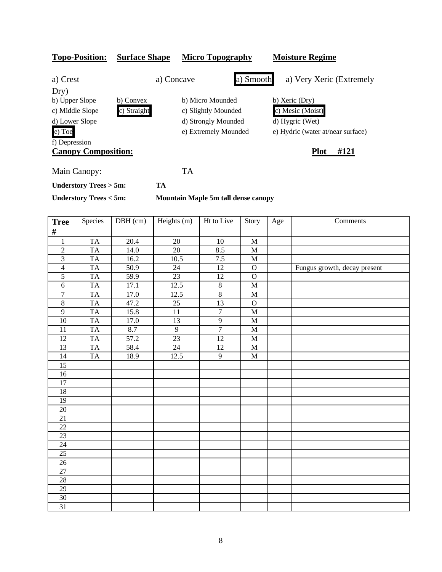| <b>Topo-Position:</b>                       | <b>Surface Shape</b>     | <b>Micro Topography</b>                     | <b>Moisture Regime</b>                               |
|---------------------------------------------|--------------------------|---------------------------------------------|------------------------------------------------------|
| a) Crest<br>Dry)                            | a) Concave               | a) Smooth                                   | a) Very Xeric (Extremely                             |
| b) Upper Slope<br>c) Middle Slope           | b) Convex<br>c) Straight | b) Micro Mounded<br>c) Slightly Mounded     | b) Xeric (Dry)<br>c) Mesic (Moist)                   |
| d) Lower Slope<br>e) Toe                    |                          | d) Strongly Mounded<br>e) Extremely Mounded | d) Hygric (Wet)<br>e) Hydric (water at/near surface) |
| f) Depression<br><b>Canopy Composition:</b> |                          |                                             | #121<br><b>Plot</b>                                  |

Main Canopy: TA

**Understory Trees > 5m: TA**

**Understory Trees < 5m: Mountain Maple 5m tall dense canopy**

| <b>Tree</b>      | Species    | DBH (cm)          | Heights (m)       | Ht to Live      | Story          | Age | Comments                     |
|------------------|------------|-------------------|-------------------|-----------------|----------------|-----|------------------------------|
| $\#$             |            |                   |                   |                 |                |     |                              |
| $\mathbf{1}$     | <b>TA</b>  | $\overline{20.4}$ | $\overline{20}$   | 10              | $\mathbf M$    |     |                              |
| $\overline{2}$   | <b>TA</b>  | 14.0              | $\overline{20}$   | 8.5             | $\mathbf M$    |     |                              |
| $\overline{3}$   | <b>TA</b>  | 16.2              | 10.5              | 7.5             | $\mathbf M$    |     |                              |
| $\overline{4}$   | TA         | 50.9              | $24\,$            | 12              | $\mathbf O$    |     | Fungus growth, decay present |
| 5                | <b>TA</b>  | 59.9              | 23                | 12              | $\mathbf{O}$   |     |                              |
| $\overline{6}$   | TA         | 17.1              | $12.\overline{5}$ | $\overline{8}$  | $\mathbf M$    |     |                              |
| $\overline{7}$   | <b>TA</b>  | 17.0              | 12.5              | $\sqrt{8}$      | $\mathbf M$    |     |                              |
| $\boldsymbol{8}$ | TA         | 47.2              | $25\,$            | 13              | $\mathbf O$    |     |                              |
| $\overline{9}$   | <b>TA</b>  | 15.8              | $\overline{11}$   | $\overline{7}$  | $\overline{M}$ |     |                              |
| 10               | TA         | 17.0              | 13                | 9               | $\mathbf M$    |     |                              |
| $\overline{11}$  | <b>TA</b>  | 8.7               | $\overline{9}$    | $\overline{7}$  | $\overline{M}$ |     |                              |
| $\overline{12}$  | ${\rm TA}$ | 57.2              | 23                | $\overline{12}$ | $\mathbf M$    |     |                              |
| 13               | <b>TA</b>  | $\frac{1}{58.4}$  | $\overline{24}$   | 12              | $\mathbf M$    |     |                              |
| 14               | TA         | 18.9              | 12.5              | $\overline{9}$  | $\mathbf M$    |     |                              |
| 15               |            |                   |                   |                 |                |     |                              |
| 16               |            |                   |                   |                 |                |     |                              |
| 17               |            |                   |                   |                 |                |     |                              |
| $\overline{18}$  |            |                   |                   |                 |                |     |                              |
| $\overline{19}$  |            |                   |                   |                 |                |     |                              |
| $20\,$           |            |                   |                   |                 |                |     |                              |
| $\overline{21}$  |            |                   |                   |                 |                |     |                              |
| $\overline{22}$  |            |                   |                   |                 |                |     |                              |
| $23\,$           |            |                   |                   |                 |                |     |                              |
| 24               |            |                   |                   |                 |                |     |                              |
| $\overline{25}$  |            |                   |                   |                 |                |     |                              |
| $\overline{26}$  |            |                   |                   |                 |                |     |                              |
| $\overline{27}$  |            |                   |                   |                 |                |     |                              |
| $28\,$           |            |                   |                   |                 |                |     |                              |
| 29               |            |                   |                   |                 |                |     |                              |
| $\overline{30}$  |            |                   |                   |                 |                |     |                              |
| 31               |            |                   |                   |                 |                |     |                              |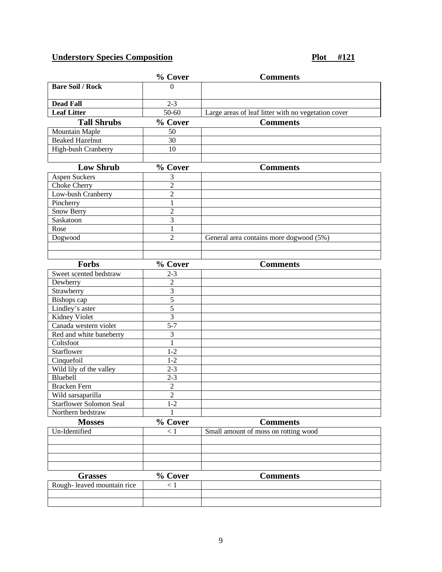# **Understory Species Composition Plot** #121

|                                | % Cover        | <b>Comments</b>                                     |
|--------------------------------|----------------|-----------------------------------------------------|
| <b>Bare Soil / Rock</b>        | $\theta$       |                                                     |
| <b>Dead Fall</b>               | $2 - 3$        |                                                     |
| <b>Leaf Litter</b>             | 50-60          | Large areas of leaf litter with no vegetation cover |
| <b>Tall Shrubs</b>             | % Cover        | <b>Comments</b>                                     |
| Mountain Maple                 | 50             |                                                     |
| <b>Beaked Hazelnut</b>         | 30             |                                                     |
| High-bush Cranberry            | 10             |                                                     |
|                                |                |                                                     |
| <b>Low Shrub</b>               | % Cover        | <b>Comments</b>                                     |
| <b>Aspen Suckers</b>           | 3              |                                                     |
| Choke Cherry                   | $\overline{2}$ |                                                     |
| Low-bush Cranberry             | $\overline{2}$ |                                                     |
| Pincherry                      | 1              |                                                     |
| Snow Berry                     | $\overline{2}$ |                                                     |
| Saskatoon                      | 3              |                                                     |
| Rose                           | 1              |                                                     |
| Dogwood                        | $\overline{2}$ | General area contains more dogwood (5%)             |
|                                |                |                                                     |
|                                |                |                                                     |
| <b>Forbs</b>                   | % Cover        | <b>Comments</b>                                     |
| Sweet scented bedstraw         | $2 - 3$        |                                                     |
| Dewberry                       | $\overline{2}$ |                                                     |
| Strawberry                     | 3              |                                                     |
| Bishops cap                    | 5              |                                                     |
| Lindley's aster                | 5              |                                                     |
| Kidney Violet                  | 3              |                                                     |
| Canada western violet          | $5 - 7$        |                                                     |
| Red and white baneberry        | 3              |                                                     |
| Coltsfoot                      | 1              |                                                     |
| Starflower                     | $1 - 2$        |                                                     |
| Cinquefoil                     | $1 - 2$        |                                                     |
| Wild lily of the valley        | $2 - 3$        |                                                     |
| Bluebell                       | $2 - 3$        |                                                     |
| <b>Bracken Fern</b>            | $\sqrt{2}$     |                                                     |
| Wild sarsaparilla              | $\overline{2}$ |                                                     |
| <b>Starflower Solomon Seal</b> | $1 - 2$        |                                                     |
| Northern bedstraw              |                |                                                     |
| <b>Mosses</b>                  | % Cover        | <b>Comments</b>                                     |
| Un-Identified                  | < 1            | Small amount of moss on rotting wood                |
|                                |                |                                                     |
|                                |                |                                                     |
|                                |                |                                                     |
|                                |                |                                                     |
| <b>Grasses</b>                 | % Cover        | <b>Comments</b>                                     |
| Rough-leaved mountain rice     | $\leq 1$       |                                                     |
|                                |                |                                                     |
|                                |                |                                                     |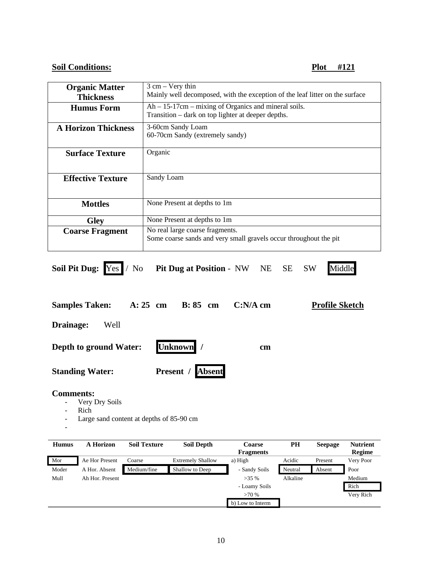# **Soil Conditions: Plot #121**

| <b>Organic Matter</b><br><b>Thickness</b> | $3 cm - Very thin$<br>Mainly well decomposed, with the exception of the leaf litter on the surface           |  |  |  |  |  |
|-------------------------------------------|--------------------------------------------------------------------------------------------------------------|--|--|--|--|--|
| <b>Humus Form</b>                         | $Ah - 15-17cm - mixing of Organics and mineral soils.$<br>Transition – dark on top lighter at deeper depths. |  |  |  |  |  |
| <b>A Horizon Thickness</b>                | 3-60cm Sandy Loam<br>60-70cm Sandy (extremely sandy)                                                         |  |  |  |  |  |
| <b>Surface Texture</b>                    | Organic                                                                                                      |  |  |  |  |  |
| <b>Effective Texture</b>                  | Sandy Loam                                                                                                   |  |  |  |  |  |
| <b>Mottles</b>                            | None Present at depths to 1m                                                                                 |  |  |  |  |  |
| <b>Gley</b>                               | None Present at depths to 1m                                                                                 |  |  |  |  |  |
| <b>Coarse Fragment</b>                    | No real large coarse fragments.<br>Some coarse sands and very small gravels occur throughout the pit         |  |  |  |  |  |
| Soil Pit Dug: Yes<br>$/$ No               | <b>SW</b><br><b>Pit Dug at Position - NW NE</b><br><b>SE</b><br>Middle                                       |  |  |  |  |  |
| <b>Samples Taken:</b>                     | $A: 25 \text{ cm}$ $B: 85 \text{ cm}$<br>$C:N/A$ cm<br><b>Profile Sketch</b>                                 |  |  |  |  |  |
| Drainage:<br>Well                         |                                                                                                              |  |  |  |  |  |
| <b>Depth to ground Water:</b>             | Unknown /<br>$\mathbf{cm}$                                                                                   |  |  |  |  |  |
| <b>Standing Water:</b>                    | Present / Absent                                                                                             |  |  |  |  |  |
| <b>Comments:</b><br>Very Dry Soils        |                                                                                                              |  |  |  |  |  |

- Rich
- Large sand content at depths of 85-90 cm
- -

| <b>Humus</b> | A Horizon       | <b>Soil Texture</b> | <b>Soil Depth</b>        | Coarse<br><b>Fragments</b> | PH       | <b>Seepage</b> | <b>Nutrient</b><br><b>Regime</b> |
|--------------|-----------------|---------------------|--------------------------|----------------------------|----------|----------------|----------------------------------|
| Mor          | Ae Hor Present  | Coarse              | <b>Extremely Shallow</b> | a) High                    | Acidic   | Present        | Very Poor                        |
| Moder        | A Hor. Absent   | Medium/fine         | Shallow to Deep          | - Sandy Soils              | Neutral  | Absent         | Poor                             |
| Mull         | Ah Hor. Present |                     |                          | $>35\%$                    | Alkaline |                | Medium                           |
|              |                 |                     |                          | - Loamy Soils              |          |                | Rich                             |
|              |                 |                     |                          | >70%                       |          |                | Very Rich                        |
|              |                 |                     |                          | b) Low to Interm           |          |                |                                  |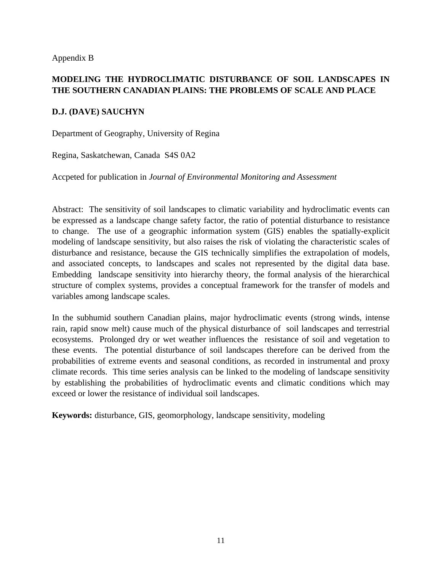Appendix B

# **MODELING THE HYDROCLIMATIC DISTURBANCE OF SOIL LANDSCAPES IN THE SOUTHERN CANADIAN PLAINS: THE PROBLEMS OF SCALE AND PLACE**

# **D.J. (DAVE) SAUCHYN**

Department of Geography, University of Regina

Regina, Saskatchewan, Canada S4S 0A2

Accpeted for publication in *Journal of Environmental Monitoring and Assessment*

Abstract: The sensitivity of soil landscapes to climatic variability and hydroclimatic events can be expressed as a landscape change safety factor, the ratio of potential disturbance to resistance to change. The use of a geographic information system (GIS) enables the spatially-explicit modeling of landscape sensitivity, but also raises the risk of violating the characteristic scales of disturbance and resistance, because the GIS technically simplifies the extrapolation of models, and associated concepts, to landscapes and scales not represented by the digital data base. Embedding landscape sensitivity into hierarchy theory, the formal analysis of the hierarchical structure of complex systems, provides a conceptual framework for the transfer of models and variables among landscape scales.

In the subhumid southern Canadian plains, major hydroclimatic events (strong winds, intense rain, rapid snow melt) cause much of the physical disturbance of soil landscapes and terrestrial ecosystems. Prolonged dry or wet weather influences the resistance of soil and vegetation to these events. The potential disturbance of soil landscapes therefore can be derived from the probabilities of extreme events and seasonal conditions, as recorded in instrumental and proxy climate records. This time series analysis can be linked to the modeling of landscape sensitivity by establishing the probabilities of hydroclimatic events and climatic conditions which may exceed or lower the resistance of individual soil landscapes.

**Keywords:** disturbance, GIS, geomorphology, landscape sensitivity, modeling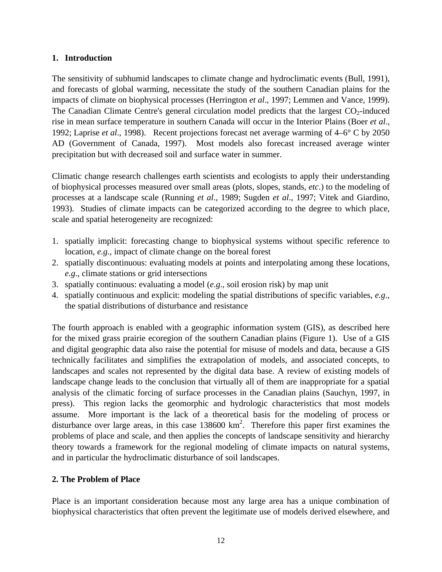# **1. Introduction**

The sensitivity of subhumid landscapes to climate change and hydroclimatic events (Bull, 1991), and forecasts of global warming, necessitate the study of the southern Canadian plains for the impacts of climate on biophysical processes (Herrington *et al*., 1997; Lemmen and Vance, 1999). The Canadian Climate Centre's general circulation model predicts that the largest  $CO_2$ -induced rise in mean surface temperature in southern Canada will occur in the Interior Plains (Boer *et al*., 1992; Laprise *et al*., 1998). Recent projections forecast net average warming of 4–6° C by 2050 AD (Government of Canada, 1997). Most models also forecast increased average winter precipitation but with decreased soil and surface water in summer.

Climatic change research challenges earth scientists and ecologists to apply their understanding of biophysical processes measured over small areas (plots, slopes, stands, *etc*.) to the modeling of processes at a landscape scale (Running *et al*., 1989; Sugden *et al*., 1997; Vitek and Giardino, 1993). Studies of climate impacts can be categorized according to the degree to which place, scale and spatial heterogeneity are recognized:

- 1. spatially implicit: forecasting change to biophysical systems without specific reference to location, *e.g.,* impact of climate change on the boreal forest
- 2. spatially discontinuous: evaluating models at points and interpolating among these locations, *e.g*., climate stations or grid intersections
- 3. spatially continuous: evaluating a model (*e.g*., soil erosion risk) by map unit
- 4. spatially continuous and explicit: modeling the spatial distributions of specific variables, *e.g*., the spatial distributions of disturbance and resistance

The fourth approach is enabled with a geographic information system (GIS), as described here for the mixed grass prairie ecoregion of the southern Canadian plains (Figure 1). Use of a GIS and digital geographic data also raise the potential for misuse of models and data, because a GIS technically facilitates and simplifies the extrapolation of models, and associated concepts, to landscapes and scales not represented by the digital data base. A review of existing models of landscape change leads to the conclusion that virtually all of them are inappropriate for a spatial analysis of the climatic forcing of surface processes in the Canadian plains (Sauchyn, 1997, in press). This region lacks the geomorphic and hydrologic characteristics that most models assume. More important is the lack of a theoretical basis for the modeling of process or disturbance over large areas, in this case  $138600 \text{ km}^2$ . Therefore this paper first examines the problems of place and scale, and then applies the concepts of landscape sensitivity and hierarchy theory towards a framework for the regional modeling of climate impacts on natural systems, and in particular the hydroclimatic disturbance of soil landscapes.

# **2. The Problem of Place**

Place is an important consideration because most any large area has a unique combination of biophysical characteristics that often prevent the legitimate use of models derived elsewhere, and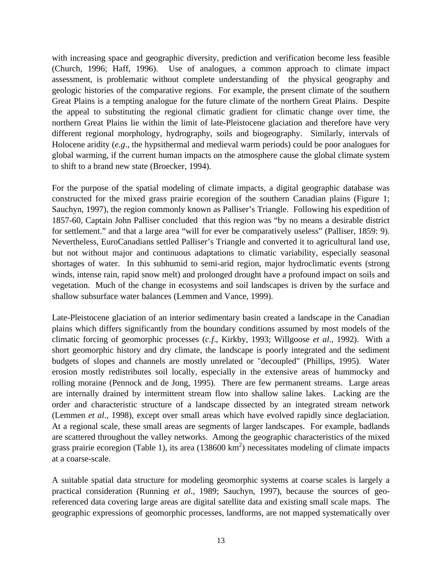with increasing space and geographic diversity, prediction and verification become less feasible (Church, 1996; Haff, 1996). Use of analogues, a common approach to climate impact assessment, is problematic without complete understanding of the physical geography and geologic histories of the comparative regions. For example, the present climate of the southern Great Plains is a tempting analogue for the future climate of the northern Great Plains. Despite the appeal to substituting the regional climatic gradient for climatic change over time, the northern Great Plains lie within the limit of late-Pleistocene glaciation and therefore have very different regional morphology, hydrography, soils and biogeography. Similarly, intervals of Holocene aridity (*e.g*., the hypsithermal and medieval warm periods) could be poor analogues for global warming, if the current human impacts on the atmosphere cause the global climate system to shift to a brand new state (Broecker, 1994).

For the purpose of the spatial modeling of climate impacts, a digital geographic database was constructed for the mixed grass prairie ecoregion of the southern Canadian plains (Figure 1; Sauchyn, 1997), the region commonly known as Palliser's Triangle. Following his expedition of 1857-60, Captain John Palliser concluded that this region was "by no means a desirable district for settlement." and that a large area "will for ever be comparatively useless" (Palliser, 1859: 9). Nevertheless, EuroCanadians settled Palliser's Triangle and converted it to agricultural land use, but not without major and continuous adaptations to climatic variability, especially seasonal shortages of water. In this subhumid to semi-arid region, major hydroclimatic events (strong winds, intense rain, rapid snow melt) and prolonged drought have a profound impact on soils and vegetation. Much of the change in ecosystems and soil landscapes is driven by the surface and shallow subsurface water balances (Lemmen and Vance, 1999).

Late-Pleistocene glaciation of an interior sedimentary basin created a landscape in the Canadian plains which differs significantly from the boundary conditions assumed by most models of the climatic forcing of geomorphic processes (*c.f*., Kirkby, 1993; Willgoose *et al*., 1992). With a short geomorphic history and dry climate, the landscape is poorly integrated and the sediment budgets of slopes and channels are mostly unrelated or "decoupled" (Phillips, 1995). Water erosion mostly redistributes soil locally, especially in the extensive areas of hummocky and rolling moraine (Pennock and de Jong, 1995). There are few permanent streams. Large areas are internally drained by intermittent stream flow into shallow saline lakes. Lacking are the order and characteristic structure of a landscape dissected by an integrated stream network (Lemmen *et al*., 1998), except over small areas which have evolved rapidly since deglaciation. At a regional scale, these small areas are segments of larger landscapes. For example, badlands are scattered throughout the valley networks. Among the geographic characteristics of the mixed grass prairie ecoregion (Table 1), its area (138600  $km<sup>2</sup>$ ) necessitates modeling of climate impacts at a coarse-scale.

A suitable spatial data structure for modeling geomorphic systems at coarse scales is largely a practical consideration (Running *et al*., 1989; Sauchyn, 1997), because the sources of georeferenced data covering large areas are digital satellite data and existing small scale maps. The geographic expressions of geomorphic processes, landforms, are not mapped systematically over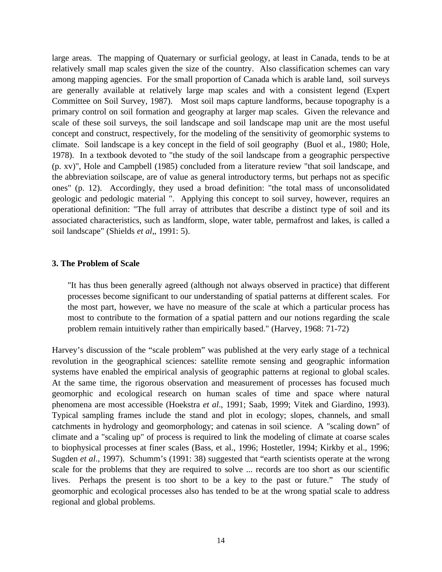large areas. The mapping of Quaternary or surficial geology, at least in Canada, tends to be at relatively small map scales given the size of the country. Also classification schemes can vary among mapping agencies. For the small proportion of Canada which is arable land, soil surveys are generally available at relatively large map scales and with a consistent legend (Expert Committee on Soil Survey, 1987). Most soil maps capture landforms, because topography is a primary control on soil formation and geography at larger map scales. Given the relevance and scale of these soil surveys, the soil landscape and soil landscape map unit are the most useful concept and construct, respectively, for the modeling of the sensitivity of geomorphic systems to climate. Soil landscape is a key concept in the field of soil geography (Buol et al., 1980; Hole, 1978). In a textbook devoted to "the study of the soil landscape from a geographic perspective (p. xv)", Hole and Campbell (1985) concluded from a literature review "that soil landscape, and the abbreviation soilscape, are of value as general introductory terms, but perhaps not as specific ones" (p. 12). Accordingly, they used a broad definition: "the total mass of unconsolidated geologic and pedologic material ". Applying this concept to soil survey, however, requires an operational definition: "The full array of attributes that describe a distinct type of soil and its associated characteristics, such as landform, slope, water table, permafrost and lakes, is called a soil landscape" (Shields *et al*,, 1991: 5).

# **3. The Problem of Scale**

"It has thus been generally agreed (although not always observed in practice) that different processes become significant to our understanding of spatial patterns at different scales. For the most part, however, we have no measure of the scale at which a particular process has most to contribute to the formation of a spatial pattern and our notions regarding the scale problem remain intuitively rather than empirically based." (Harvey, 1968: 71-72)

Harvey's discussion of the "scale problem" was published at the very early stage of a technical revolution in the geographical sciences: satellite remote sensing and geographic information systems have enabled the empirical analysis of geographic patterns at regional to global scales. At the same time, the rigorous observation and measurement of processes has focused much geomorphic and ecological research on human scales of time and space where natural phenomena are most accessible (Hoekstra *et al*., 1991; Saab, 1999; Vitek and Giardino, 1993). Typical sampling frames include the stand and plot in ecology; slopes, channels, and small catchments in hydrology and geomorphology; and catenas in soil science. A "scaling down" of climate and a "scaling up" of process is required to link the modeling of climate at coarse scales to biophysical processes at finer scales (Bass, et al., 1996; Hostetler, 1994; Kirkby et al., 1996; Sugden *et al*., 1997). Schumm's (1991: 38) suggested that "earth scientists operate at the wrong scale for the problems that they are required to solve ... records are too short as our scientific lives. Perhaps the present is too short to be a key to the past or future." The study of geomorphic and ecological processes also has tended to be at the wrong spatial scale to address regional and global problems.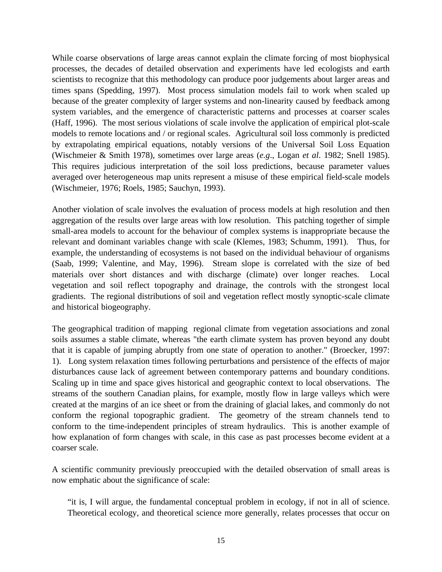While coarse observations of large areas cannot explain the climate forcing of most biophysical processes, the decades of detailed observation and experiments have led ecologists and earth scientists to recognize that this methodology can produce poor judgements about larger areas and times spans (Spedding, 1997). Most process simulation models fail to work when scaled up because of the greater complexity of larger systems and non-linearity caused by feedback among system variables, and the emergence of characteristic patterns and processes at coarser scales (Haff, 1996). The most serious violations of scale involve the application of empirical plot-scale models to remote locations and / or regional scales. Agricultural soil loss commonly is predicted by extrapolating empirical equations, notably versions of the Universal Soil Loss Equation (Wischmeier & Smith 1978), sometimes over large areas (*e.g*., Logan *et al*. 1982; Snell 1985). This requires judicious interpretation of the soil loss predictions, because parameter values averaged over heterogeneous map units represent a misuse of these empirical field-scale models (Wischmeier, 1976; Roels, 1985; Sauchyn, 1993).

Another violation of scale involves the evaluation of process models at high resolution and then aggregation of the results over large areas with low resolution. This patching together of simple small-area models to account for the behaviour of complex systems is inappropriate because the relevant and dominant variables change with scale (Klemes, 1983; Schumm, 1991). Thus, for example, the understanding of ecosystems is not based on the individual behaviour of organisms (Saab, 1999; Valentine, and May, 1996). Stream slope is correlated with the size of bed materials over short distances and with discharge (climate) over longer reaches. Local vegetation and soil reflect topography and drainage, the controls with the strongest local gradients. The regional distributions of soil and vegetation reflect mostly synoptic-scale climate and historical biogeography.

The geographical tradition of mapping regional climate from vegetation associations and zonal soils assumes a stable climate, whereas "the earth climate system has proven beyond any doubt that it is capable of jumping abruptly from one state of operation to another." (Broecker, 1997: 1). Long system relaxation times following perturbations and persistence of the effects of major disturbances cause lack of agreement between contemporary patterns and boundary conditions. Scaling up in time and space gives historical and geographic context to local observations. The streams of the southern Canadian plains, for example, mostly flow in large valleys which were created at the margins of an ice sheet or from the draining of glacial lakes, and commonly do not conform the regional topographic gradient. The geometry of the stream channels tend to conform to the time-independent principles of stream hydraulics. This is another example of how explanation of form changes with scale, in this case as past processes become evident at a coarser scale.

A scientific community previously preoccupied with the detailed observation of small areas is now emphatic about the significance of scale:

"it is, I will argue, the fundamental conceptual problem in ecology, if not in all of science. Theoretical ecology, and theoretical science more generally, relates processes that occur on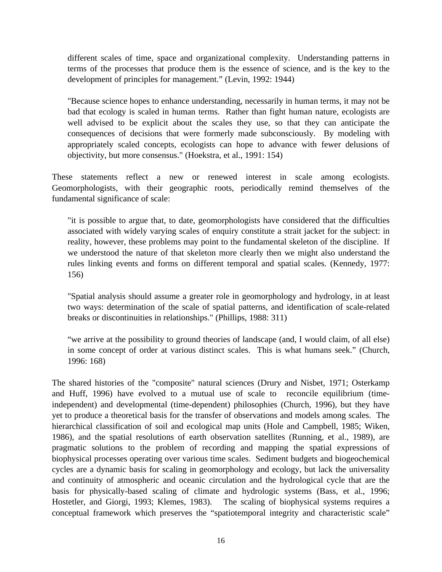different scales of time, space and organizational complexity. Understanding patterns in terms of the processes that produce them is the essence of science, and is the key to the development of principles for management." (Levin, 1992: 1944)

"Because science hopes to enhance understanding, necessarily in human terms, it may not be bad that ecology is scaled in human terms. Rather than fight human nature, ecologists are well advised to be explicit about the scales they use, so that they can anticipate the consequences of decisions that were formerly made subconsciously. By modeling with appropriately scaled concepts, ecologists can hope to advance with fewer delusions of objectivity, but more consensus." (Hoekstra, et al., 1991: 154)

These statements reflect a new or renewed interest in scale among ecologists. Geomorphologists, with their geographic roots, periodically remind themselves of the fundamental significance of scale:

"it is possible to argue that, to date, geomorphologists have considered that the difficulties associated with widely varying scales of enquiry constitute a strait jacket for the subject: in reality, however, these problems may point to the fundamental skeleton of the discipline. If we understood the nature of that skeleton more clearly then we might also understand the rules linking events and forms on different temporal and spatial scales. (Kennedy, 1977: 156)

"Spatial analysis should assume a greater role in geomorphology and hydrology, in at least two ways: determination of the scale of spatial patterns, and identification of scale-related breaks or discontinuities in relationships." (Phillips, 1988: 311)

"we arrive at the possibility to ground theories of landscape (and, I would claim, of all else) in some concept of order at various distinct scales. This is what humans seek." (Church, 1996: 168)

The shared histories of the "composite" natural sciences (Drury and Nisbet, 1971; Osterkamp and Huff, 1996) have evolved to a mutual use of scale to reconcile equilibrium (timeindependent) and developmental (time-dependent) philosophies (Church, 1996), but they have yet to produce a theoretical basis for the transfer of observations and models among scales. The hierarchical classification of soil and ecological map units (Hole and Campbell, 1985; Wiken, 1986), and the spatial resolutions of earth observation satellites (Running, et al., 1989), are pragmatic solutions to the problem of recording and mapping the spatial expressions of biophysical processes operating over various time scales. Sediment budgets and biogeochemical cycles are a dynamic basis for scaling in geomorphology and ecology, but lack the universality and continuity of atmospheric and oceanic circulation and the hydrological cycle that are the basis for physically-based scaling of climate and hydrologic systems (Bass, et al., 1996; Hostetler, and Giorgi, 1993; Klemes, 1983). The scaling of biophysical systems requires a conceptual framework which preserves the "spatiotemporal integrity and characteristic scale"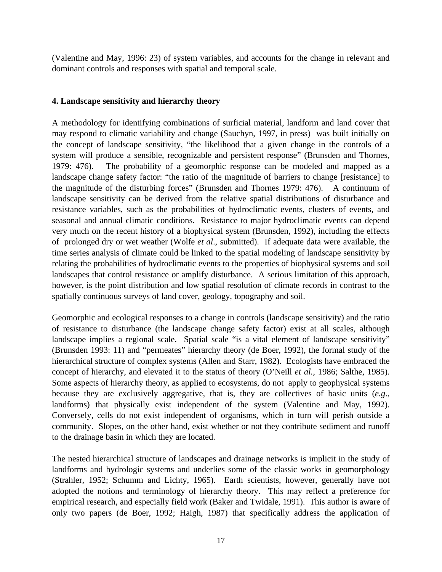(Valentine and May, 1996: 23) of system variables, and accounts for the change in relevant and dominant controls and responses with spatial and temporal scale.

# **4. Landscape sensitivity and hierarchy theory**

A methodology for identifying combinations of surficial material, landform and land cover that may respond to climatic variability and change (Sauchyn, 1997, in press) was built initially on the concept of landscape sensitivity, "the likelihood that a given change in the controls of a system will produce a sensible, recognizable and persistent response" (Brunsden and Thornes, 1979: 476). The probability of a geomorphic response can be modeled and mapped as a landscape change safety factor: "the ratio of the magnitude of barriers to change [resistance] to the magnitude of the disturbing forces" (Brunsden and Thornes 1979: 476). A continuum of landscape sensitivity can be derived from the relative spatial distributions of disturbance and resistance variables, such as the probabilities of hydroclimatic events, clusters of events, and seasonal and annual climatic conditions. Resistance to major hydroclimatic events can depend very much on the recent history of a biophysical system (Brunsden, 1992), including the effects of prolonged dry or wet weather (Wolfe *et al*., submitted). If adequate data were available, the time series analysis of climate could be linked to the spatial modeling of landscape sensitivity by relating the probabilities of hydroclimatic events to the properties of biophysical systems and soil landscapes that control resistance or amplify disturbance. A serious limitation of this approach, however, is the point distribution and low spatial resolution of climate records in contrast to the spatially continuous surveys of land cover, geology, topography and soil.

Geomorphic and ecological responses to a change in controls (landscape sensitivity) and the ratio of resistance to disturbance (the landscape change safety factor) exist at all scales, although landscape implies a regional scale. Spatial scale "is a vital element of landscape sensitivity" (Brunsden 1993: 11) and "permeates" hierarchy theory (de Boer, 1992), the formal study of the hierarchical structure of complex systems (Allen and Starr, 1982). Ecologists have embraced the concept of hierarchy, and elevated it to the status of theory (O'Neill *et al.*, 1986; Salthe, 1985). Some aspects of hierarchy theory, as applied to ecosystems, do not apply to geophysical systems because they are exclusively aggregative, that is, they are collectives of basic units (*e.g*., landforms) that physically exist independent of the system (Valentine and May, 1992). Conversely, cells do not exist independent of organisms, which in turn will perish outside a community. Slopes, on the other hand, exist whether or not they contribute sediment and runoff to the drainage basin in which they are located.

The nested hierarchical structure of landscapes and drainage networks is implicit in the study of landforms and hydrologic systems and underlies some of the classic works in geomorphology (Strahler, 1952; Schumm and Lichty, 1965). Earth scientists, however, generally have not adopted the notions and terminology of hierarchy theory. This may reflect a preference for empirical research, and especially field work (Baker and Twidale, 1991). This author is aware of only two papers (de Boer, 1992; Haigh, 1987) that specifically address the application of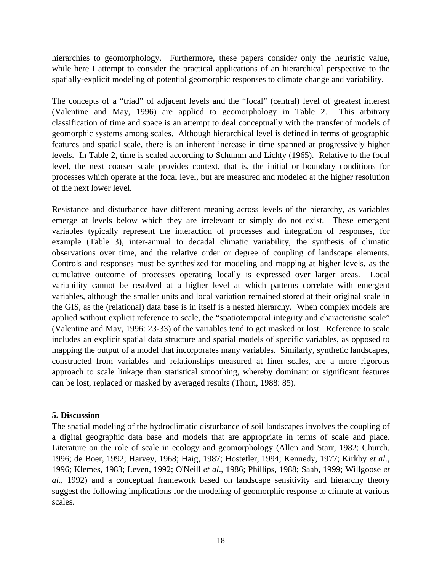hierarchies to geomorphology. Furthermore, these papers consider only the heuristic value, while here I attempt to consider the practical applications of an hierarchical perspective to the spatially-explicit modeling of potential geomorphic responses to climate change and variability.

The concepts of a "triad" of adjacent levels and the "focal" (central) level of greatest interest (Valentine and May, 1996) are applied to geomorphology in Table 2. This arbitrary classification of time and space is an attempt to deal conceptually with the transfer of models of geomorphic systems among scales. Although hierarchical level is defined in terms of geographic features and spatial scale, there is an inherent increase in time spanned at progressively higher levels. In Table 2, time is scaled according to Schumm and Lichty (1965). Relative to the focal level, the next coarser scale provides context, that is, the initial or boundary conditions for processes which operate at the focal level, but are measured and modeled at the higher resolution of the next lower level.

Resistance and disturbance have different meaning across levels of the hierarchy, as variables emerge at levels below which they are irrelevant or simply do not exist. These emergent variables typically represent the interaction of processes and integration of responses, for example (Table 3), inter-annual to decadal climatic variability, the synthesis of climatic observations over time, and the relative order or degree of coupling of landscape elements. Controls and responses must be synthesized for modeling and mapping at higher levels, as the cumulative outcome of processes operating locally is expressed over larger areas. Local variability cannot be resolved at a higher level at which patterns correlate with emergent variables, although the smaller units and local variation remained stored at their original scale in the GIS, as the (relational) data base is in itself is a nested hierarchy. When complex models are applied without explicit reference to scale, the "spatiotemporal integrity and characteristic scale" (Valentine and May, 1996: 23-33) of the variables tend to get masked or lost. Reference to scale includes an explicit spatial data structure and spatial models of specific variables, as opposed to mapping the output of a model that incorporates many variables. Similarly, synthetic landscapes, constructed from variables and relationships measured at finer scales, are a more rigorous approach to scale linkage than statistical smoothing, whereby dominant or significant features can be lost, replaced or masked by averaged results (Thorn, 1988: 85).

# **5. Discussion**

The spatial modeling of the hydroclimatic disturbance of soil landscapes involves the coupling of a digital geographic data base and models that are appropriate in terms of scale and place. Literature on the role of scale in ecology and geomorphology (Allen and Starr, 1982; Church, 1996; de Boer, 1992; Harvey, 1968; Haig, 1987; Hostetler, 1994; Kennedy, 1977; Kirkby *et al*., 1996; Klemes, 1983; Leven, 1992; O'Neill *et al*., 1986; Phillips, 1988; Saab, 1999; Willgoose *et al*., 1992) and a conceptual framework based on landscape sensitivity and hierarchy theory suggest the following implications for the modeling of geomorphic response to climate at various scales.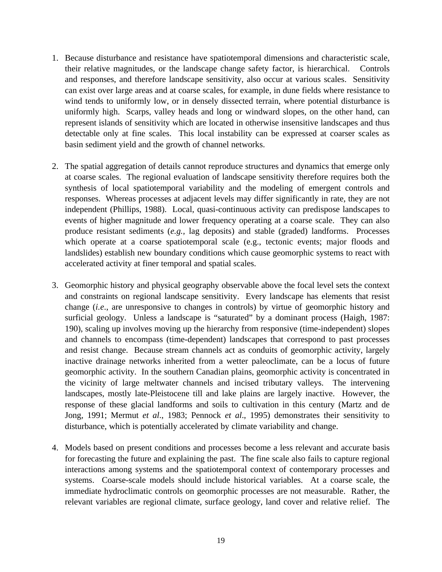- 1. Because disturbance and resistance have spatiotemporal dimensions and characteristic scale, their relative magnitudes, or the landscape change safety factor, is hierarchical. Controls and responses, and therefore landscape sensitivity, also occur at various scales. Sensitivity can exist over large areas and at coarse scales, for example, in dune fields where resistance to wind tends to uniformly low, or in densely dissected terrain, where potential disturbance is uniformly high. Scarps, valley heads and long or windward slopes, on the other hand, can represent islands of sensitivity which are located in otherwise insensitive landscapes and thus detectable only at fine scales. This local instability can be expressed at coarser scales as basin sediment yield and the growth of channel networks.
- 2. The spatial aggregation of details cannot reproduce structures and dynamics that emerge only at coarse scales. The regional evaluation of landscape sensitivity therefore requires both the synthesis of local spatiotemporal variability and the modeling of emergent controls and responses. Whereas processes at adjacent levels may differ significantly in rate, they are not independent (Phillips, 1988). Local, quasi-continuous activity can predispose landscapes to events of higher magnitude and lower frequency operating at a coarse scale. They can also produce resistant sediments (*e.g.,* lag deposits) and stable (graded) landforms. Processes which operate at a coarse spatiotemporal scale (e.g., tectonic events; major floods and landslides) establish new boundary conditions which cause geomorphic systems to react with accelerated activity at finer temporal and spatial scales.
- 3. Geomorphic history and physical geography observable above the focal level sets the context and constraints on regional landscape sensitivity. Every landscape has elements that resist change (*i.e*., are unresponsive to changes in controls) by virtue of geomorphic history and surficial geology. Unless a landscape is "saturated" by a dominant process (Haigh, 1987: 190), scaling up involves moving up the hierarchy from responsive (time-independent) slopes and channels to encompass (time-dependent) landscapes that correspond to past processes and resist change. Because stream channels act as conduits of geomorphic activity, largely inactive drainage networks inherited from a wetter paleoclimate, can be a locus of future geomorphic activity. In the southern Canadian plains, geomorphic activity is concentrated in the vicinity of large meltwater channels and incised tributary valleys. The intervening landscapes, mostly late-Pleistocene till and lake plains are largely inactive. However, the response of these glacial landforms and soils to cultivation in this century (Martz and de Jong, 1991; Mermut *et al*., 1983; Pennock *et al*., 1995) demonstrates their sensitivity to disturbance, which is potentially accelerated by climate variability and change.
- 4. Models based on present conditions and processes become a less relevant and accurate basis for forecasting the future and explaining the past. The fine scale also fails to capture regional interactions among systems and the spatiotemporal context of contemporary processes and systems. Coarse-scale models should include historical variables. At a coarse scale, the immediate hydroclimatic controls on geomorphic processes are not measurable. Rather, the relevant variables are regional climate, surface geology, land cover and relative relief. The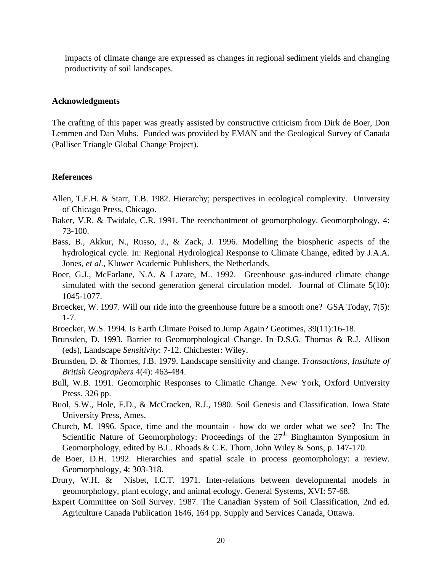impacts of climate change are expressed as changes in regional sediment yields and changing productivity of soil landscapes.

### **Acknowledgments**

The crafting of this paper was greatly assisted by constructive criticism from Dirk de Boer, Don Lemmen and Dan Muhs. Funded was provided by EMAN and the Geological Survey of Canada (Palliser Triangle Global Change Project).

# **References**

- Allen, T.F.H. & Starr, T.B. 1982. Hierarchy; perspectives in ecological complexity. University of Chicago Press, Chicago.
- Baker, V.R. & Twidale, C.R. 1991. The reenchantment of geomorphology. Geomorphology, 4: 73-100.
- Bass, B., Akkur, N., Russo, J., & Zack, J. 1996. Modelling the biospheric aspects of the hydrological cycle. In: Regional Hydrological Response to Climate Change, edited by J.A.A. Jones, *et al*., Kluwer Academic Publishers, the Netherlands.
- Boer, G.J., McFarlane, N.A. & Lazare, M.. 1992. Greenhouse gas-induced climate change simulated with the second generation general circulation model. Journal of Climate 5(10): 1045-1077.
- Broecker, W. 1997. Will our ride into the greenhouse future be a smooth one? GSA Today, 7(5): 1-7.
- Broecker, W.S. 1994. Is Earth Climate Poised to Jump Again? Geotimes, 39(11):16-18.
- Brunsden, D. 1993. Barrier to Geomorphological Change. In D.S.G. Thomas & R.J. Allison (eds), Landscape *Sensitivity*: 7-12. Chichester: Wiley.
- Brunsden, D. & Thornes, J.B. 1979. Landscape sensitivity and change. *Transactions, Institute of British Geographers* 4(4): 463-484.
- Bull, W.B. 1991. Geomorphic Responses to Climatic Change. New York, Oxford University Press. 326 pp.
- Buol, S.W., Hole, F.D., & McCracken, R.J., 1980. Soil Genesis and Classification. Iowa State University Press, Ames.
- Church, M. 1996. Space, time and the mountain how do we order what we see? In: The Scientific Nature of Geomorphology: Proceedings of the  $27<sup>th</sup>$  Binghamton Symposium in Geomorphology, edited by B.L. Rhoads & C.E. Thorn, John Wiley & Sons, p. 147-170.
- de Boer, D.H. 1992. Hierarchies and spatial scale in process geomorphology: a review. Geomorphology, 4: 303-318.
- Drury, W.H. & Nisbet, I.C.T. 1971. Inter-relations between developmental models in geomorphology, plant ecology, and animal ecology. General Systems, XVI: 57-68.
- Expert Committee on Soil Survey. 1987. The Canadian System of Soil Classification, 2nd ed. Agriculture Canada Publication 1646, 164 pp. Supply and Services Canada, Ottawa.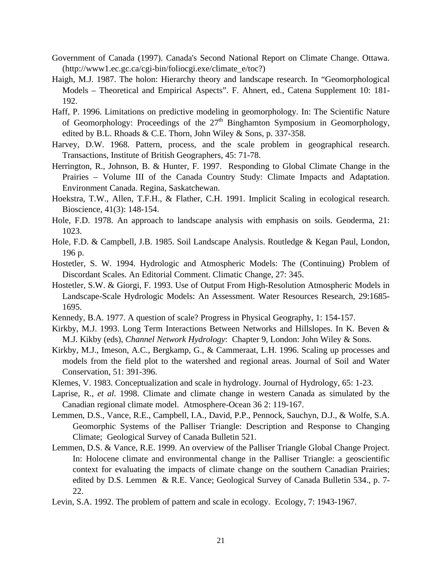- Government of Canada (1997). Canada's Second National Report on Climate Change. Ottawa. (http://www1.ec.gc.ca/cgi-bin/foliocgi.exe/climate\_e/toc?)
- Haigh, M.J. 1987. The holon: Hierarchy theory and landscape research. In "Geomorphological Models – Theoretical and Empirical Aspects". F. Ahnert, ed., Catena Supplement 10: 181- 192.
- Haff, P. 1996. Limitations on predictive modeling in geomorphology. In: The Scientific Nature of Geomorphology: Proceedings of the  $27<sup>th</sup>$  Binghamton Symposium in Geomorphology, edited by B.L. Rhoads & C.E. Thorn, John Wiley & Sons, p. 337-358.
- Harvey, D.W. 1968. Pattern, process, and the scale problem in geographical research. Transactions, Institute of British Geographers, 45: 71-78.
- Herrington, R., Johnson, B. & Hunter, F. 1997. Responding to Global Climate Change in the Prairies – Volume III of the Canada Country Study: Climate Impacts and Adaptation. Environment Canada. Regina, Saskatchewan.
- Hoekstra, T.W., Allen, T.F.H., & Flather, C.H. 1991. Implicit Scaling in ecological research. Bioscience, 41(3): 148-154.
- Hole, F.D. 1978. An approach to landscape analysis with emphasis on soils. Geoderma, 21: 1023.
- Hole, F.D. & Campbell, J.B. 1985. Soil Landscape Analysis. Routledge & Kegan Paul, London, 196 p.
- Hostetler, S. W. 1994. Hydrologic and Atmospheric Models: The (Continuing) Problem of Discordant Scales. An Editorial Comment. Climatic Change, 27: 345.
- Hostetler, S.W. & Giorgi, F. 1993. Use of Output From High-Resolution Atmospheric Models in Landscape-Scale Hydrologic Models: An Assessment. Water Resources Research, 29:1685- 1695.
- Kennedy, B.A. 1977. A question of scale? Progress in Physical Geography, 1: 154-157.
- Kirkby, M.J. 1993. Long Term Interactions Between Networks and Hillslopes. In K. Beven & M.J. Kikby (eds), *Channel Network Hydrology*: Chapter 9, London: John Wiley & Sons.
- Kirkby, M.J., Imeson, A.C., Bergkamp, G., & Cammeraat, L.H. 1996. Scaling up processes and models from the field plot to the watershed and regional areas. Journal of Soil and Water Conservation, 51: 391-396.
- Klemes, V. 1983. Conceptualization and scale in hydrology. Journal of Hydrology, 65: 1-23.
- Laprise, R., *et al*. 1998. Climate and climate change in western Canada as simulated by the Canadian regional climate model. Atmosphere-Ocean 36 2: 119-167.
- Lemmen, D.S., Vance, R.E., Campbell, I.A., David, P.P., Pennock, Sauchyn, D.J., & Wolfe, S.A. Geomorphic Systems of the Palliser Triangle: Description and Response to Changing Climate; Geological Survey of Canada Bulletin 521.
- Lemmen, D.S. & Vance, R.E. 1999. An overview of the Palliser Triangle Global Change Project. In: Holocene climate and environmental change in the Palliser Triangle: a geoscientific context for evaluating the impacts of climate change on the southern Canadian Prairies; edited by D.S. Lemmen & R.E. Vance; Geological Survey of Canada Bulletin 534., p. 7- 22.
- Levin, S.A. 1992. The problem of pattern and scale in ecology. Ecology, 7: 1943-1967.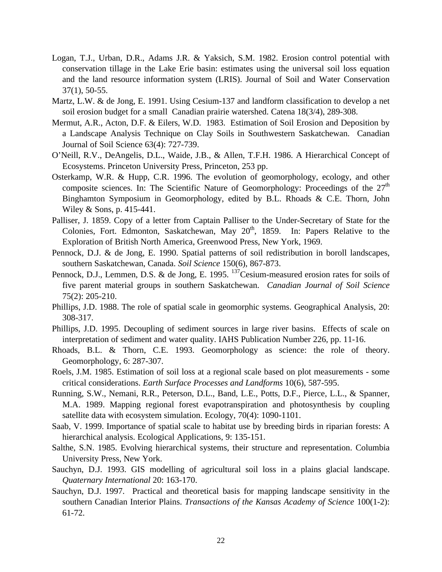- Logan, T.J., Urban, D.R., Adams J.R. & Yaksich, S.M. 1982. Erosion control potential with conservation tillage in the Lake Erie basin: estimates using the universal soil loss equation and the land resource information system (LRIS). Journal of Soil and Water Conservation 37(1), 50-55.
- Martz, L.W. & de Jong, E. 1991. Using Cesium-137 and landform classification to develop a net soil erosion budget for a small Canadian prairie watershed. Catena 18(3/4), 289-308.
- Mermut, A.R., Acton, D.F. & Eilers, W.D. 1983. Estimation of Soil Erosion and Deposition by a Landscape Analysis Technique on Clay Soils in Southwestern Saskatchewan. Canadian Journal of Soil Science 63(4): 727-739.
- O'Neill, R.V., DeAngelis, D.L., Waide, J.B., & Allen, T.F.H. 1986. A Hierarchical Concept of Ecosystems. Princeton University Press, Princeton, 253 pp.
- Osterkamp, W.R. & Hupp, C.R. 1996. The evolution of geomorphology, ecology, and other composite sciences. In: The Scientific Nature of Geomorphology: Proceedings of the  $27<sup>th</sup>$ Binghamton Symposium in Geomorphology, edited by B.L. Rhoads & C.E. Thorn, John Wiley & Sons, p. 415-441.
- Palliser, J. 1859. Copy of a letter from Captain Palliser to the Under-Secretary of State for the Colonies, Fort. Edmonton, Saskatchewan, May  $20<sup>th</sup>$ , 1859. In: Papers Relative to the Exploration of British North America, Greenwood Press, New York, 1969.
- Pennock, D.J. & de Jong, E. 1990. Spatial patterns of soil redistribution in boroll landscapes, southern Saskatchewan, Canada. *Soil Science* 150(6), 867-873.
- Pennock, D.J., Lemmen, D.S. & de Jong, E. 1995. <sup>137</sup>Cesium-measured erosion rates for soils of five parent material groups in southern Saskatchewan. *Canadian Journal of Soil Science* 75(2): 205-210.
- Phillips, J.D. 1988. The role of spatial scale in geomorphic systems. Geographical Analysis, 20: 308-317.
- Phillips, J.D. 1995. Decoupling of sediment sources in large river basins. Effects of scale on interpretation of sediment and water quality. IAHS Publication Number 226, pp. 11-16.
- Rhoads, B.L. & Thorn, C.E. 1993. Geomorphology as science: the role of theory. Geomorphology, 6: 287-307.
- Roels, J.M. 1985. Estimation of soil loss at a regional scale based on plot measurements some critical considerations. *Earth Surface Processes and Landforms* 10(6), 587-595.
- Running, S.W., Nemani, R.R., Peterson, D.L., Band, L.E., Potts, D.F., Pierce, L.L., & Spanner, M.A. 1989. Mapping regional forest evapotranspiration and photosynthesis by coupling satellite data with ecosystem simulation. Ecology, 70(4): 1090-1101.
- Saab, V. 1999. Importance of spatial scale to habitat use by breeding birds in riparian forests: A hierarchical analysis. Ecological Applications, 9: 135-151.
- Salthe, S.N. 1985. Evolving hierarchical systems, their structure and representation. Columbia University Press, New York.
- Sauchyn, D.J. 1993. GIS modelling of agricultural soil loss in a plains glacial landscape. *Quaternary International* 20: 163-170.
- Sauchyn, D.J. 1997. Practical and theoretical basis for mapping landscape sensitivity in the southern Canadian Interior Plains. *Transactions of the Kansas Academy of Science* 100(1-2): 61-72.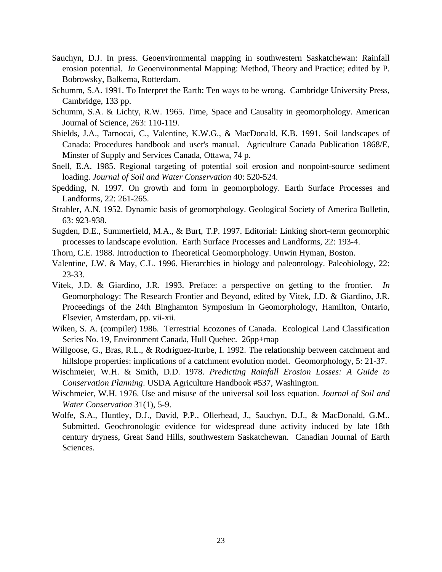- Sauchyn, D.J. In press. Geoenvironmental mapping in southwestern Saskatchewan: Rainfall erosion potential. *In* Geoenvironmental Mapping: Method, Theory and Practice; edited by P. Bobrowsky, Balkema, Rotterdam.
- Schumm, S.A. 1991. To Interpret the Earth: Ten ways to be wrong. Cambridge University Press, Cambridge, 133 pp.
- Schumm, S.A. & Lichty, R.W. 1965. Time, Space and Causality in geomorphology. American Journal of Science, 263: 110-119.
- Shields, J.A., Tarnocai, C., Valentine, K.W.G., & MacDonald, K.B. 1991. Soil landscapes of Canada: Procedures handbook and user's manual. Agriculture Canada Publication 1868/E, Minster of Supply and Services Canada, Ottawa, 74 p.
- Snell, E.A. 1985. Regional targeting of potential soil erosion and nonpoint-source sediment loading. *Journal of Soil and Water Conservation* 40: 520-524.
- Spedding, N. 1997. On growth and form in geomorphology. Earth Surface Processes and Landforms, 22: 261-265.
- Strahler, A.N. 1952. Dynamic basis of geomorphology. Geological Society of America Bulletin, 63: 923-938.
- Sugden, D.E., Summerfield, M.A., & Burt, T.P. 1997. Editorial: Linking short-term geomorphic processes to landscape evolution. Earth Surface Processes and Landforms, 22: 193-4.
- Thorn, C.E. 1988. Introduction to Theoretical Geomorphology. Unwin Hyman, Boston.
- Valentine, J.W. & May, C.L. 1996. Hierarchies in biology and paleontology. Paleobiology, 22: 23-33.
- Vitek, J.D. & Giardino, J.R. 1993. Preface: a perspective on getting to the frontier. *In* Geomorphology: The Research Frontier and Beyond, edited by Vitek, J.D. & Giardino, J.R. Proceedings of the 24th Binghamton Symposium in Geomorphology, Hamilton, Ontario, Elsevier, Amsterdam, pp. vii-xii.
- Wiken, S. A. (compiler) 1986. Terrestrial Ecozones of Canada. Ecological Land Classification Series No. 19, Environment Canada, Hull Quebec. 26pp+map
- Willgoose, G., Bras, R.L., & Rodriguez-Iturbe, I. 1992. The relationship between catchment and hillslope properties: implications of a catchment evolution model. Geomorphology, 5: 21-37.
- Wischmeier, W.H. & Smith, D.D. 1978. *Predicting Rainfall Erosion Losses: A Guide to Conservation Planning*. USDA Agriculture Handbook #537, Washington.
- Wischmeier, W.H. 1976. Use and misuse of the universal soil loss equation. *Journal of Soil and Water Conservation* 31(1), 5-9.
- Wolfe, S.A., Huntley, D.J., David, P.P., Ollerhead, J., Sauchyn, D.J., & MacDonald, G.M.. Submitted. Geochronologic evidence for widespread dune activity induced by late 18th century dryness, Great Sand Hills, southwestern Saskatchewan. Canadian Journal of Earth Sciences.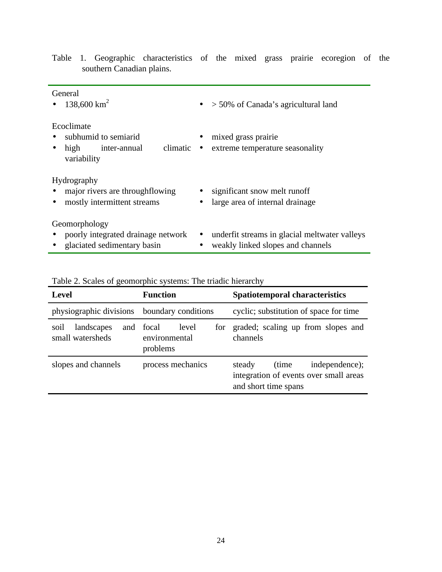|  |                           | Table 1. Geographic characteristics of the mixed grass prairie ecoregion of the |  |  |  |  |
|--|---------------------------|---------------------------------------------------------------------------------|--|--|--|--|
|  | southern Canadian plains. |                                                                                 |  |  |  |  |

|           | General                                                                   |           |                                                                                    |
|-----------|---------------------------------------------------------------------------|-----------|------------------------------------------------------------------------------------|
|           | 138,600 $km^2$                                                            |           | $\bullet$ > 50% of Canada's agricultural land                                      |
| $\bullet$ | Ecoclimate<br>subhumid to semiarid<br>high<br>inter-annual<br>variability |           | mixed grass prairie<br>climatic • extreme temperature seasonality                  |
|           | Hydrography                                                               |           |                                                                                    |
|           | major rivers are throughflowing                                           |           | significant snow melt runoff                                                       |
| $\bullet$ | mostly intermittent streams                                               | $\bullet$ | large area of internal drainage                                                    |
|           | Geomorphology                                                             |           |                                                                                    |
| $\bullet$ | poorly integrated drainage network<br>glaciated sedimentary basin         | $\bullet$ | underfit streams in glacial meltwater valleys<br>weakly linked slopes and channels |

Table 2. Scales of geomorphic systems: The triadic hierarchy

| Level                                       | <b>Function</b>                                        | <b>Spatiotemporal characteristics</b>                                                                |
|---------------------------------------------|--------------------------------------------------------|------------------------------------------------------------------------------------------------------|
| physiographic divisions boundary conditions |                                                        | cyclic; substitution of space for time                                                               |
| landscapes<br>soil<br>small watersheds      | and focal<br>level<br>for<br>environmental<br>problems | graded; scaling up from slopes and<br>channels                                                       |
| slopes and channels                         | process mechanics                                      | independence);<br>steady<br>(time)<br>integration of events over small areas<br>and short time spans |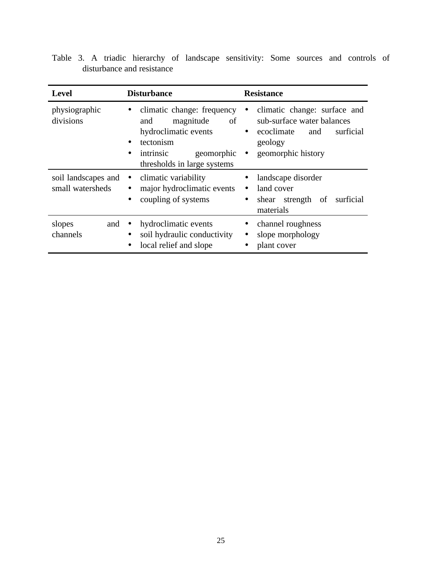| <b>Level</b>                            | <b>Disturbance</b>                                                                                                                                                                      | <b>Resistance</b>                                                                                                                                    |
|-----------------------------------------|-----------------------------------------------------------------------------------------------------------------------------------------------------------------------------------------|------------------------------------------------------------------------------------------------------------------------------------------------------|
| physiographic<br>divisions              | climatic change: frequency $\bullet$<br>$\bullet$<br>magnitude<br>of<br>and<br>hydroclimatic events<br>tectonism<br>intrinsic<br>geomorphic<br>$\bullet$<br>thresholds in large systems | climatic change: surface and<br>sub-surface water balances<br>ecoclimate and<br>surficial<br>$\bullet$<br>geology<br>geomorphic history<br>$\bullet$ |
| soil landscapes and<br>small watersheds | climatic variability<br>$\bullet$<br>major hydroclimatic events<br>coupling of systems<br>$\bullet$                                                                                     | landscape disorder<br>$\bullet$<br>land cover<br>$\bullet$<br>shear strength of<br>surficial<br>$\bullet$<br>materials                               |
| slopes<br>and<br>channels               | hydroclimatic events<br>$\bullet$<br>soil hydraulic conductivity<br>$\bullet$<br>local relief and slope                                                                                 | channel roughness<br>$\bullet$<br>slope morphology<br>$\bullet$<br>plant cover<br>$\bullet$                                                          |

Table 3. A triadic hierarchy of landscape sensitivity: Some sources and controls of disturbance and resistance